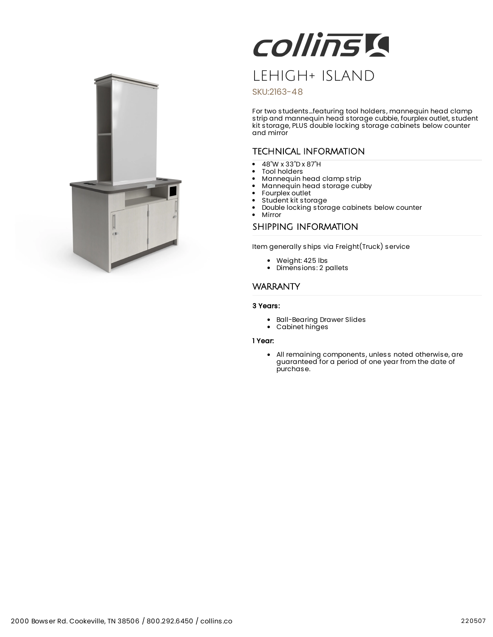

# Collinsk LEHIGH+ ISLAND

### SKU:2163-48

For two students...featuring tool holders, mannequin head clamp strip and mannequin head storage cubbie, fourplex outlet, student kit storage, PLUS double locking storage cabinets below counter and mirror

## TECHNICAL INFORMATION

- 48"W x 33"D x 87"H
- Tool holders
- Mannequin head clamp strip
- Mannequin head storage cubby  $\bullet$
- Fourplex outlet  $\bullet$
- Student kit storage
- Double locking storage cabinets below counter  $\bullet$
- Mirror

### SHIPPING INFORMATION

Item generally ships via Freight(Truck) service

- Weight: 425 lbs
- Dimensions: 2 pallets

## WARRANTY

#### 3 Years:

- Ball-Bearing Drawer Slides
- Cabinet hinges

#### 1 Year:

All remaining components, unless noted otherwise, are guaranteed for a period of one year from the date of purchase.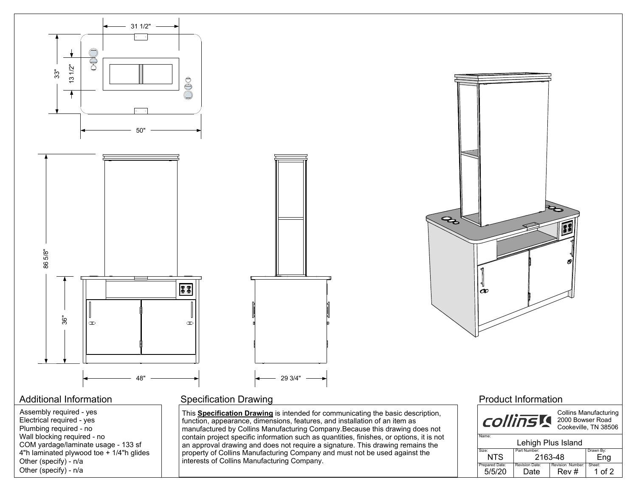